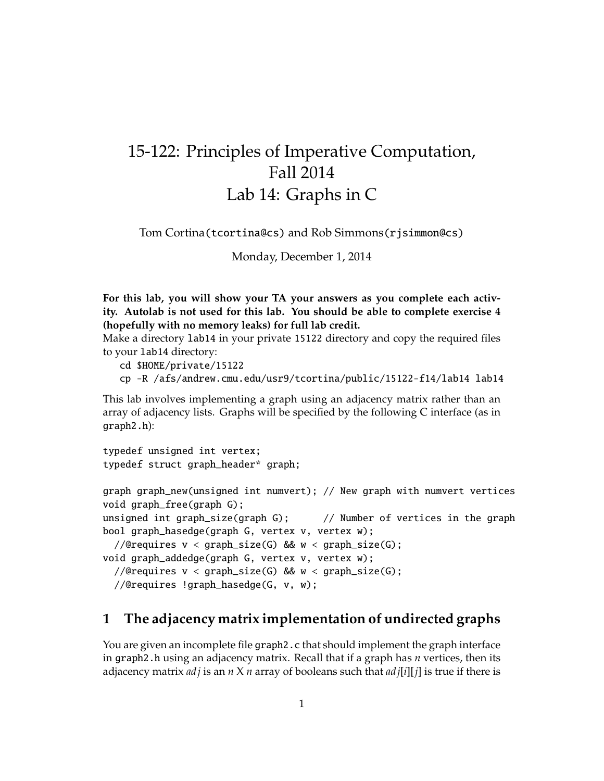## 15-122: Principles of Imperative Computation, Fall 2014 Lab 14: Graphs in C

Tom Cortina(tcortina@cs) and Rob Simmons(rjsimmon@cs)

Monday, December 1, 2014

**For this lab, you will show your TA your answers as you complete each activity. Autolab is not used for this lab. You should be able to complete exercise 4 (hopefully with no memory leaks) for full lab credit.**

Make a directory lab14 in your private 15122 directory and copy the required files to your lab14 directory:

cd \$HOME/private/15122

```
cp -R /afs/andrew.cmu.edu/usr9/tcortina/public/15122-f14/lab14 lab14
```
This lab involves implementing a graph using an adjacency matrix rather than an array of adjacency lists. Graphs will be specified by the following C interface (as in graph2.h):

```
typedef unsigned int vertex;
typedef struct graph_header* graph;
graph graph_new(unsigned int numvert); // New graph with numvert vertices
void graph_free(graph G);
unsigned int graph_size(graph G); \qquad // Number of vertices in the graph
bool graph_hasedge(graph G, vertex v, vertex w);
  //@requires v < graph_size(G) && w < graph_size(G);
void graph_addedge(graph G, vertex v, vertex w);
  //@requires v < graph_size(G) && w < graph_size(G);
 //@requires !graph_hasedge(G, v, w);
```
## **1 The adjacency matrix implementation of undirected graphs**

You are given an incomplete file graph2.c that should implement the graph interface in graph2.h using an adjacency matrix. Recall that if a graph has *n* vertices, then its adjacency matrix *adj* is an *n* X *n* array of booleans such that *adj*[*i*][*j*] is true if there is